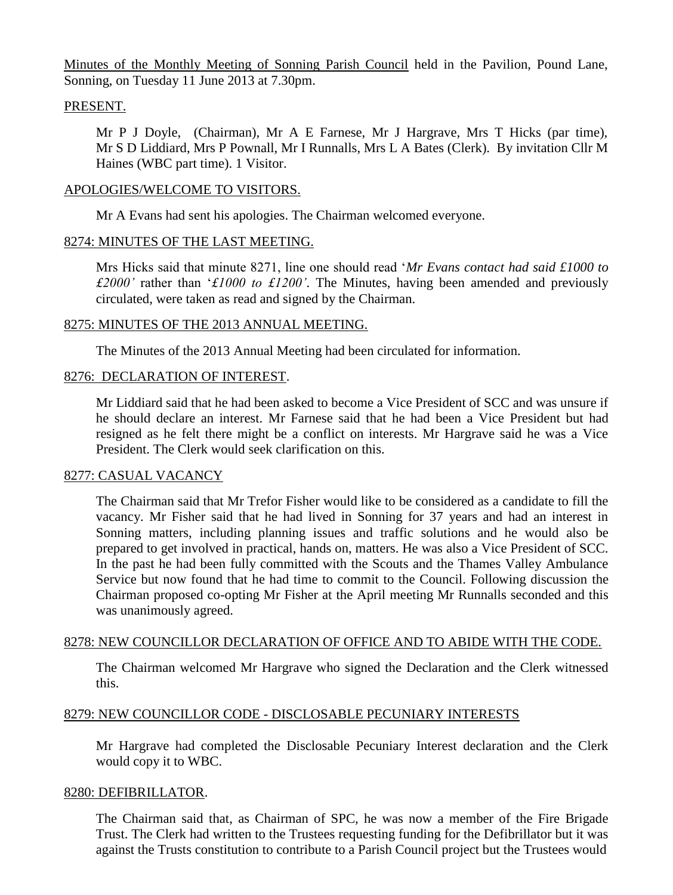Minutes of the Monthly Meeting of Sonning Parish Council held in the Pavilion, Pound Lane, Sonning, on Tuesday 11 June 2013 at 7.30pm.

### PRESENT.

Mr P J Doyle, (Chairman), Mr A E Farnese, Mr J Hargrave, Mrs T Hicks (par time), Mr S D Liddiard, Mrs P Pownall, Mr I Runnalls, Mrs L A Bates (Clerk). By invitation Cllr M Haines (WBC part time). 1 Visitor.

### APOLOGIES/WELCOME TO VISITORS.

Mr A Evans had sent his apologies. The Chairman welcomed everyone.

### 8274: MINUTES OF THE LAST MEETING.

Mrs Hicks said that minute 8271, line one should read '*Mr Evans contact had said £1000 to £2000'* rather than '*£1000 to £1200'*. The Minutes, having been amended and previously circulated, were taken as read and signed by the Chairman.

### 8275: MINUTES OF THE 2013 ANNUAL MEETING.

The Minutes of the 2013 Annual Meeting had been circulated for information.

### 8276: DECLARATION OF INTEREST.

Mr Liddiard said that he had been asked to become a Vice President of SCC and was unsure if he should declare an interest. Mr Farnese said that he had been a Vice President but had resigned as he felt there might be a conflict on interests. Mr Hargrave said he was a Vice President. The Clerk would seek clarification on this.

## 8277: CASUAL VACANCY

The Chairman said that Mr Trefor Fisher would like to be considered as a candidate to fill the vacancy. Mr Fisher said that he had lived in Sonning for 37 years and had an interest in Sonning matters, including planning issues and traffic solutions and he would also be prepared to get involved in practical, hands on, matters. He was also a Vice President of SCC. In the past he had been fully committed with the Scouts and the Thames Valley Ambulance Service but now found that he had time to commit to the Council. Following discussion the Chairman proposed co-opting Mr Fisher at the April meeting Mr Runnalls seconded and this was unanimously agreed.

#### 8278: NEW COUNCILLOR DECLARATION OF OFFICE AND TO ABIDE WITH THE CODE.

The Chairman welcomed Mr Hargrave who signed the Declaration and the Clerk witnessed this.

#### 8279: NEW COUNCILLOR CODE - DISCLOSABLE PECUNIARY INTERESTS

Mr Hargrave had completed the Disclosable Pecuniary Interest declaration and the Clerk would copy it to WBC.

#### 8280: DEFIBRILLATOR.

The Chairman said that, as Chairman of SPC, he was now a member of the Fire Brigade Trust. The Clerk had written to the Trustees requesting funding for the Defibrillator but it was against the Trusts constitution to contribute to a Parish Council project but the Trustees would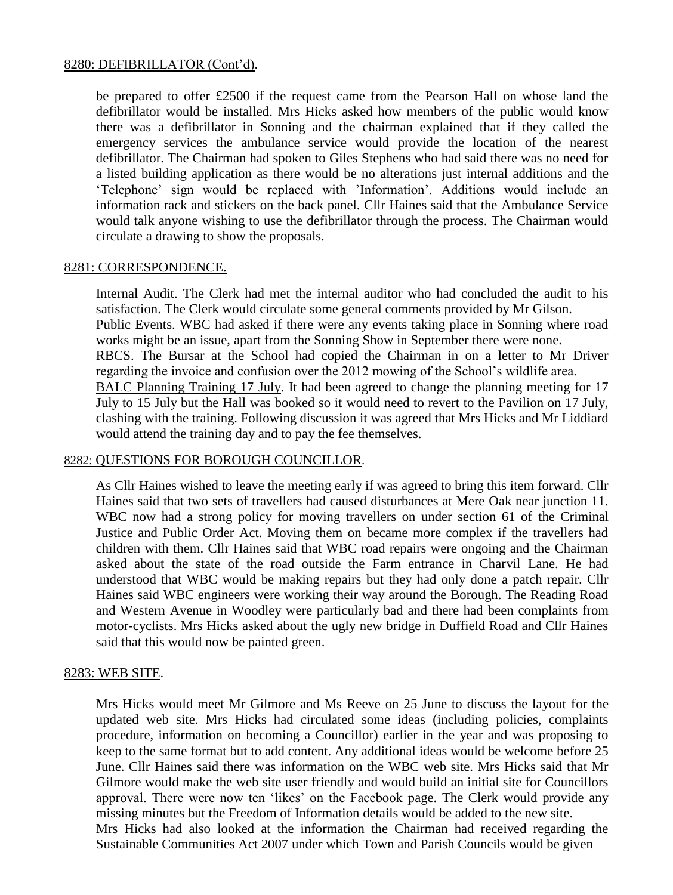### 8280: DEFIBRILLATOR (Cont'd).

be prepared to offer £2500 if the request came from the Pearson Hall on whose land the defibrillator would be installed. Mrs Hicks asked how members of the public would know there was a defibrillator in Sonning and the chairman explained that if they called the emergency services the ambulance service would provide the location of the nearest defibrillator. The Chairman had spoken to Giles Stephens who had said there was no need for a listed building application as there would be no alterations just internal additions and the 'Telephone' sign would be replaced with 'Information'. Additions would include an information rack and stickers on the back panel. Cllr Haines said that the Ambulance Service would talk anyone wishing to use the defibrillator through the process. The Chairman would circulate a drawing to show the proposals.

### 8281: CORRESPONDENCE.

Internal Audit. The Clerk had met the internal auditor who had concluded the audit to his satisfaction. The Clerk would circulate some general comments provided by Mr Gilson. Public Events. WBC had asked if there were any events taking place in Sonning where road works might be an issue, apart from the Sonning Show in September there were none. RBCS. The Bursar at the School had copied the Chairman in on a letter to Mr Driver regarding the invoice and confusion over the 2012 mowing of the School's wildlife area. BALC Planning Training 17 July. It had been agreed to change the planning meeting for 17 July to 15 July but the Hall was booked so it would need to revert to the Pavilion on 17 July, clashing with the training. Following discussion it was agreed that Mrs Hicks and Mr Liddiard would attend the training day and to pay the fee themselves.

## 8282: QUESTIONS FOR BOROUGH COUNCILLOR.

As Cllr Haines wished to leave the meeting early if was agreed to bring this item forward. Cllr Haines said that two sets of travellers had caused disturbances at Mere Oak near junction 11. WBC now had a strong policy for moving travellers on under section 61 of the Criminal Justice and Public Order Act. Moving them on became more complex if the travellers had children with them. Cllr Haines said that WBC road repairs were ongoing and the Chairman asked about the state of the road outside the Farm entrance in Charvil Lane. He had understood that WBC would be making repairs but they had only done a patch repair. Cllr Haines said WBC engineers were working their way around the Borough. The Reading Road and Western Avenue in Woodley were particularly bad and there had been complaints from motor-cyclists. Mrs Hicks asked about the ugly new bridge in Duffield Road and Cllr Haines said that this would now be painted green.

## 8283: WEB SITE.

Mrs Hicks would meet Mr Gilmore and Ms Reeve on 25 June to discuss the layout for the updated web site. Mrs Hicks had circulated some ideas (including policies, complaints procedure, information on becoming a Councillor) earlier in the year and was proposing to keep to the same format but to add content. Any additional ideas would be welcome before 25 June. Cllr Haines said there was information on the WBC web site. Mrs Hicks said that Mr Gilmore would make the web site user friendly and would build an initial site for Councillors approval. There were now ten 'likes' on the Facebook page. The Clerk would provide any missing minutes but the Freedom of Information details would be added to the new site. Mrs Hicks had also looked at the information the Chairman had received regarding the Sustainable Communities Act 2007 under which Town and Parish Councils would be given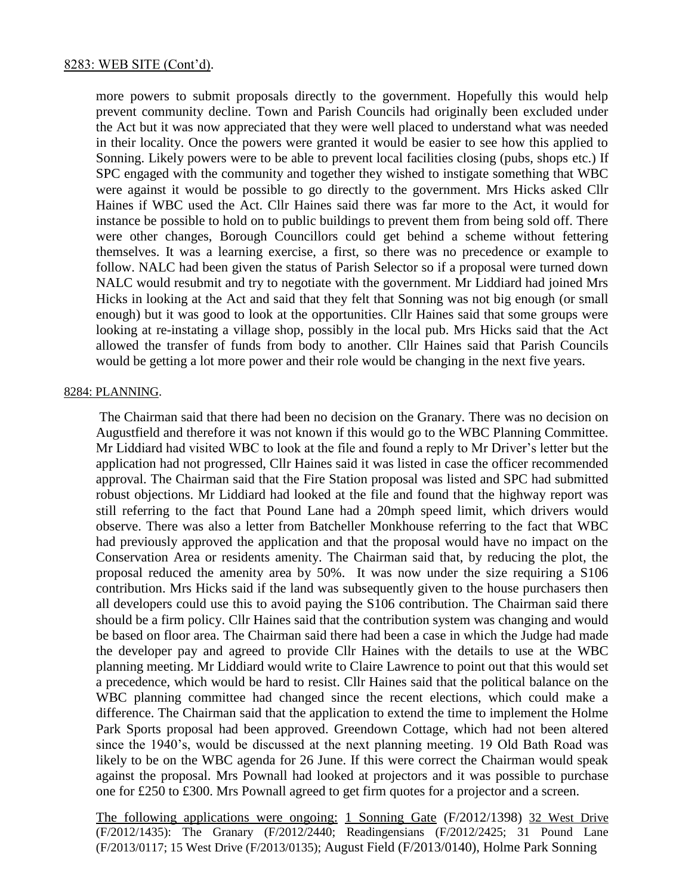more powers to submit proposals directly to the government. Hopefully this would help prevent community decline. Town and Parish Councils had originally been excluded under the Act but it was now appreciated that they were well placed to understand what was needed in their locality. Once the powers were granted it would be easier to see how this applied to Sonning. Likely powers were to be able to prevent local facilities closing (pubs, shops etc.) If SPC engaged with the community and together they wished to instigate something that WBC were against it would be possible to go directly to the government. Mrs Hicks asked Cllr Haines if WBC used the Act. Cllr Haines said there was far more to the Act, it would for instance be possible to hold on to public buildings to prevent them from being sold off. There were other changes, Borough Councillors could get behind a scheme without fettering themselves. It was a learning exercise, a first, so there was no precedence or example to follow. NALC had been given the status of Parish Selector so if a proposal were turned down NALC would resubmit and try to negotiate with the government. Mr Liddiard had joined Mrs Hicks in looking at the Act and said that they felt that Sonning was not big enough (or small enough) but it was good to look at the opportunities. Cllr Haines said that some groups were looking at re-instating a village shop, possibly in the local pub. Mrs Hicks said that the Act allowed the transfer of funds from body to another. Cllr Haines said that Parish Councils would be getting a lot more power and their role would be changing in the next five years.

#### 8284: PLANNING.

The Chairman said that there had been no decision on the Granary. There was no decision on Augustfield and therefore it was not known if this would go to the WBC Planning Committee. Mr Liddiard had visited WBC to look at the file and found a reply to Mr Driver's letter but the application had not progressed, Cllr Haines said it was listed in case the officer recommended approval. The Chairman said that the Fire Station proposal was listed and SPC had submitted robust objections. Mr Liddiard had looked at the file and found that the highway report was still referring to the fact that Pound Lane had a 20mph speed limit, which drivers would observe. There was also a letter from Batcheller Monkhouse referring to the fact that WBC had previously approved the application and that the proposal would have no impact on the Conservation Area or residents amenity. The Chairman said that, by reducing the plot, the proposal reduced the amenity area by 50%. It was now under the size requiring a S106 contribution. Mrs Hicks said if the land was subsequently given to the house purchasers then all developers could use this to avoid paying the S106 contribution. The Chairman said there should be a firm policy. Cllr Haines said that the contribution system was changing and would be based on floor area. The Chairman said there had been a case in which the Judge had made the developer pay and agreed to provide Cllr Haines with the details to use at the WBC planning meeting. Mr Liddiard would write to Claire Lawrence to point out that this would set a precedence, which would be hard to resist. Cllr Haines said that the political balance on the WBC planning committee had changed since the recent elections, which could make a difference. The Chairman said that the application to extend the time to implement the Holme Park Sports proposal had been approved. Greendown Cottage, which had not been altered since the 1940's, would be discussed at the next planning meeting. 19 Old Bath Road was likely to be on the WBC agenda for 26 June. If this were correct the Chairman would speak against the proposal. Mrs Pownall had looked at projectors and it was possible to purchase one for £250 to £300. Mrs Pownall agreed to get firm quotes for a projector and a screen.

The following applications were ongoing: 1 Sonning Gate (F/2012/1398) 32 West Drive (F/2012/1435): The Granary (F/2012/2440; Readingensians (F/2012/2425; 31 Pound Lane (F/2013/0117; 15 West Drive (F/2013/0135); August Field (F/2013/0140), Holme Park Sonning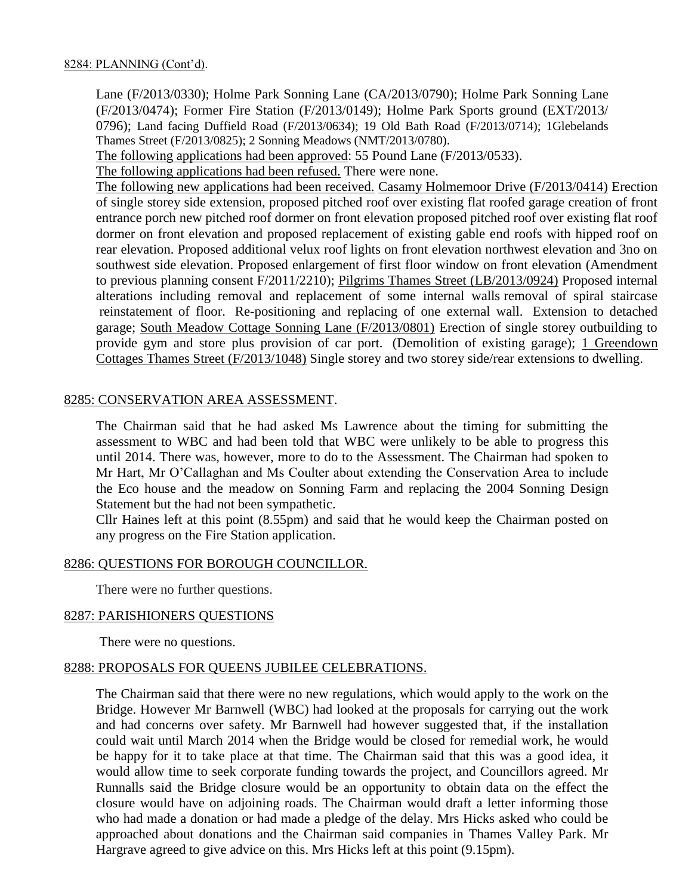Lane (F/2013/0330); Holme Park Sonning Lane (CA/2013/0790); Holme Park Sonning Lane (F/2013/0474); Former Fire Station (F/2013/0149); Holme Park Sports ground (EXT/2013/ 0796); Land facing Duffield Road (F/2013/0634); 19 Old Bath Road (F/2013/0714); 1Glebelands Thames Street (F/2013/0825); 2 Sonning Meadows (NMT/2013/0780).

The following applications had been approved: 55 Pound Lane (F/2013/0533).

The following applications had been refused. There were none.

The following new applications had been received. Casamy Holmemoor Drive (F/2013/0414) Erection of single storey side extension, proposed pitched roof over existing flat roofed garage creation of front entrance porch new pitched roof dormer on front elevation proposed pitched roof over existing flat roof dormer on front elevation and proposed replacement of existing gable end roofs with hipped roof on rear elevation. Proposed additional velux roof lights on front elevation northwest elevation and 3no on southwest side elevation. Proposed enlargement of first floor window on front elevation (Amendment to previous planning consent F/2011/2210); Pilgrims Thames Street (LB/2013/0924) Proposed internal alterations including removal and replacement of some internal walls removal of spiral staircase reinstatement of floor. Re-positioning and replacing of one external wall. Extension to detached garage; South Meadow Cottage Sonning Lane (F/2013/0801) Erection of single storey outbuilding to provide gym and store plus provision of car port. (Demolition of existing garage); 1 Greendown Cottages Thames Street (F/2013/1048) Single storey and two storey side/rear extensions to dwelling.

## 8285: CONSERVATION AREA ASSESSMENT.

The Chairman said that he had asked Ms Lawrence about the timing for submitting the assessment to WBC and had been told that WBC were unlikely to be able to progress this until 2014. There was, however, more to do to the Assessment. The Chairman had spoken to Mr Hart, Mr O'Callaghan and Ms Coulter about extending the Conservation Area to include the Eco house and the meadow on Sonning Farm and replacing the 2004 Sonning Design Statement but the had not been sympathetic.

Cllr Haines left at this point (8.55pm) and said that he would keep the Chairman posted on any progress on the Fire Station application.

#### 8286: QUESTIONS FOR BOROUGH COUNCILLOR.

There were no further questions.

#### 8287: PARISHIONERS QUESTIONS

There were no questions.

#### 8288: PROPOSALS FOR QUEENS JUBILEE CELEBRATIONS.

The Chairman said that there were no new regulations, which would apply to the work on the Bridge. However Mr Barnwell (WBC) had looked at the proposals for carrying out the work and had concerns over safety. Mr Barnwell had however suggested that, if the installation could wait until March 2014 when the Bridge would be closed for remedial work, he would be happy for it to take place at that time. The Chairman said that this was a good idea, it would allow time to seek corporate funding towards the project, and Councillors agreed. Mr Runnalls said the Bridge closure would be an opportunity to obtain data on the effect the closure would have on adjoining roads. The Chairman would draft a letter informing those who had made a donation or had made a pledge of the delay. Mrs Hicks asked who could be approached about donations and the Chairman said companies in Thames Valley Park. Mr Hargrave agreed to give advice on this. Mrs Hicks left at this point (9.15pm).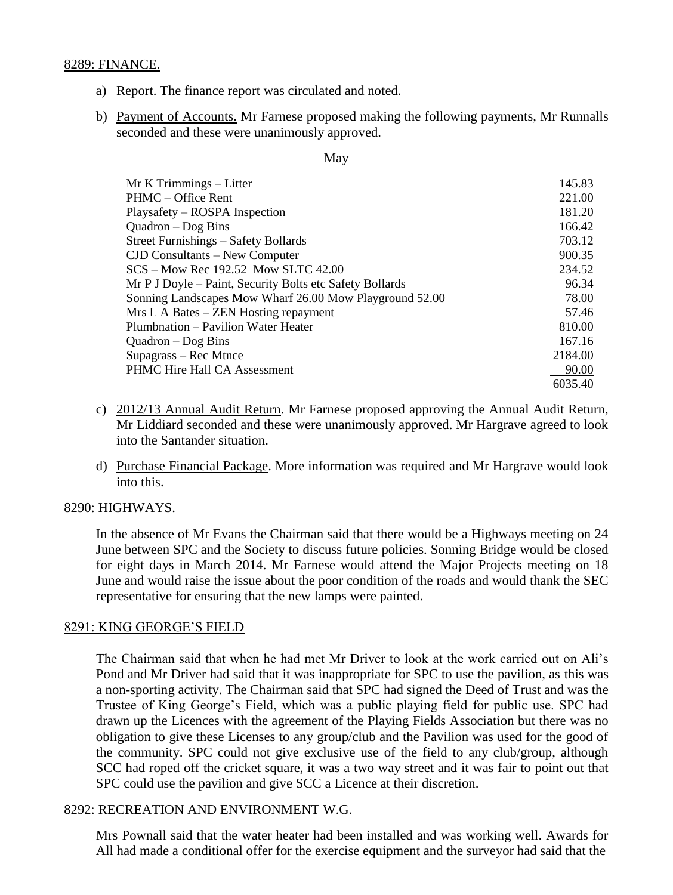### 8289: FINANCE.

- a) Report. The finance report was circulated and noted.
- b) Payment of Accounts. Mr Farnese proposed making the following payments, Mr Runnalls seconded and these were unanimously approved.

#### May

| Mr K Trimmings - Litter                                  | 145.83  |
|----------------------------------------------------------|---------|
| PHMC – Office Rent                                       | 221.00  |
| Playsafety – ROSPA Inspection                            | 181.20  |
| $Quadron - Dog Bins$                                     | 166.42  |
| Street Furnishings – Safety Bollards                     | 703.12  |
| $CID$ Consultants $-$ New Computer                       | 900.35  |
| $SCS - Mow$ Rec 192.52 Mow SLTC 42.00                    | 234.52  |
| Mr P J Doyle – Paint, Security Bolts etc Safety Bollards | 96.34   |
| Sonning Landscapes Mow Wharf 26.00 Mow Playground 52.00  | 78.00   |
| Mrs L A Bates – ZEN Hosting repayment                    | 57.46   |
| Plumbnation – Pavilion Water Heater                      | 810.00  |
| $Quadron - Dog Bins$                                     | 167.16  |
| Supagrass – Rec Mtnce                                    | 2184.00 |
| <b>PHMC Hire Hall CA Assessment</b>                      | 90.00   |
|                                                          | 6035.40 |

- c) 2012/13 Annual Audit Return. Mr Farnese proposed approving the Annual Audit Return, Mr Liddiard seconded and these were unanimously approved. Mr Hargrave agreed to look into the Santander situation.
- d) Purchase Financial Package. More information was required and Mr Hargrave would look into this.

#### 8290: HIGHWAYS.

In the absence of Mr Evans the Chairman said that there would be a Highways meeting on 24 June between SPC and the Society to discuss future policies. Sonning Bridge would be closed for eight days in March 2014. Mr Farnese would attend the Major Projects meeting on 18 June and would raise the issue about the poor condition of the roads and would thank the SEC representative for ensuring that the new lamps were painted.

## 8291: KING GEORGE'S FIELD

The Chairman said that when he had met Mr Driver to look at the work carried out on Ali's Pond and Mr Driver had said that it was inappropriate for SPC to use the pavilion, as this was a non-sporting activity. The Chairman said that SPC had signed the Deed of Trust and was the Trustee of King George's Field, which was a public playing field for public use. SPC had drawn up the Licences with the agreement of the Playing Fields Association but there was no obligation to give these Licenses to any group/club and the Pavilion was used for the good of the community. SPC could not give exclusive use of the field to any club/group, although SCC had roped off the cricket square, it was a two way street and it was fair to point out that SPC could use the pavilion and give SCC a Licence at their discretion.

## 8292: RECREATION AND ENVIRONMENT W.G.

Mrs Pownall said that the water heater had been installed and was working well. Awards for All had made a conditional offer for the exercise equipment and the surveyor had said that the